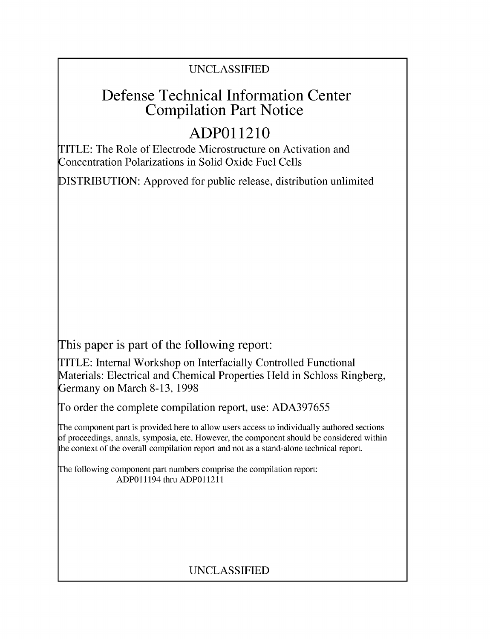## UNCLASSIFIED

# Defense Technical Information Center Compilation Part Notice

# **ADPO** 11210

TITLE: The Role of Electrode Microstructure on Activation and Concentration Polarizations in Solid Oxide Fuel Cells

DISTRIBUTION: Approved for public release, distribution unlimited

This paper is part of the following report:

TITLE: Internal Workshop on Interfacially Controlled Functional Materials: Electrical and Chemical Properties Held in Schloss Ringberg, Germany on March 8-13, 1998

To order the complete compilation report, use: ADA397655

The component part is provided here to allow users access to individually authored sections f proceedings, annals, symposia, etc. However, the component should be considered within [he context of the overall compilation report and not as a stand-alone technical report.

The following component part numbers comprise the compilation report: ADPO11194 thru ADP011211

# UNCLASSIFIED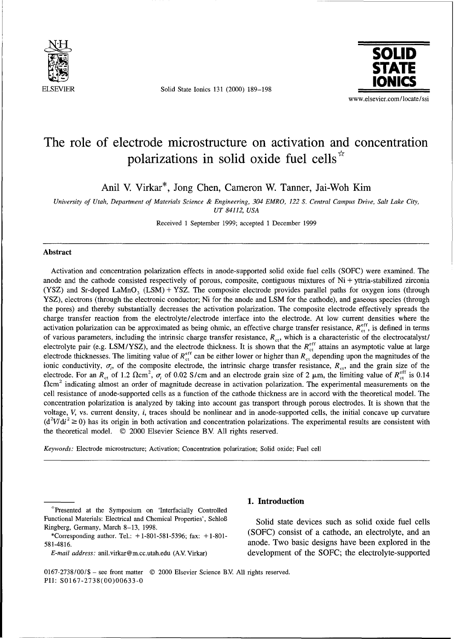

**ELSEVIER** Solid State Ionics 131 (2000) 189-198



## The role of electrode microstructure on activation and concentration polarizations in solid oxide fuel cells $\mathbb{R}^{\times}$

Anil V. Virkar\*, Jong Chen, Cameron W. Tanner, Jai-Woh Kim

*University of Utah, Department of Materials Science & Engineering, 304 EMRO, 122 S. Central Campus Drive, Salt Lake City, UT 84112, USA*

Received 1 September 1999; accepted 1 December 1999

## Abstract

Activation and concentration polarization effects in anode-supported solid oxide fuel cells (SOFC) were examined. The anode and the cathode consisted respectively of porous, composite, contiguous mixtures of Ni + yttria-stabilized zirconia (YSZ) and Sr-doped LaMnO<sub>3</sub> (LSM) + YSZ. The composite electrode provides parallel paths for oxygen ions (through YSZ), electrons (through the electronic conductor; Ni for the anode and LSM for the cathode), and gaseous species (through the pores) and thereby substantially decreases the activation polarization. The composite electrode effectively spreads the charge transfer reaction from the electrolyte/electrode interface into the electrode. At low current densities where the activation polarization can be approximated as being ohmic, an effective charge transfer resistance,  $R_{\text{ct}}^{\text{eff}}$ , is defined in terms of various parameters, including the intrinsic charge transfer resistance,  $R_{ct}$ , which is a characteristic of the electrocatalyst/ electrolyte pair (e.g. LSM/YSZ), and the electrode thickness. It is shown that the  $R_{cr}^{eff}$  attains an asymptotic value at large electrode thicknesses. The limiting value of  $R_{\text{ct}}^{\text{eff}}$  can be either lower or higher than  $R_{\text{ct}}$  depending upon the magnitudes of the ionic conductivity,  $\sigma_i$ , of the composite electrode, the intrinsic charge transfer resistance,  $R_{\rm ct}$ , and the grain size of the electrode. For an  $R_{ct}$  of 1.2  $\Omega$ cm<sup>2</sup>,  $\sigma_i$  of 0.02 S/cm and an electrode grain size of 2  $\mu$ m, the limiting value of  $R_{ct}^{\text{eff}}$  is 0.14  $\Omega$ cm<sup>2</sup> indicating almost an order of magnitude decrease in activation polarization. The experimental measurements on the cell resistance of anode-supported cells as a function of the cathode thickness are in accord with the theoretical model. The concentration polarization is analyzed by taking into account gas transport through porous electrodes. It is shown that the voltage, V, vs. current density, i, traces should be nonlinear and in anode-supported cells, the initial concave up curvature  $(d^2V/di^2 \ge 0)$  has its origin in both activation and concentration polarizations. The experimental results are consistent with the theoretical model. © 2000 Elsevier Science B.V. All rights reserved.

*Keywords:* Electrode microstructure; Activation; Concentration polarization; Solid oxide; Fuel cell

"ýPresented at the Symposium on 'Interfacially Controlled Functional Materials: Electrical and Chemical Properties', Schloß Solid state devices such as solid oxide fuel cells

\*Corresponding author. Tel.:  $+1-801-581-5396$ ; fax:  $+1-801-$ 581-4816. anode. Two basic designs have been explored in the

## 1. Introduction

Ringberg, Germany, March 8-13, 1998.<br> **(SOFC)** consist of a cathode, an electrolyte, and an electrolyte, and an *E-mail address:* anil.virkar@m.cc.utah.edu (AV Virkar) development of the SOFC; the electrolyte-supported

0167-2738/00/\$ - see front matter © 2000 Elsevier Science BV. All rights reserved. PIH: S0167-2738(00)00633-0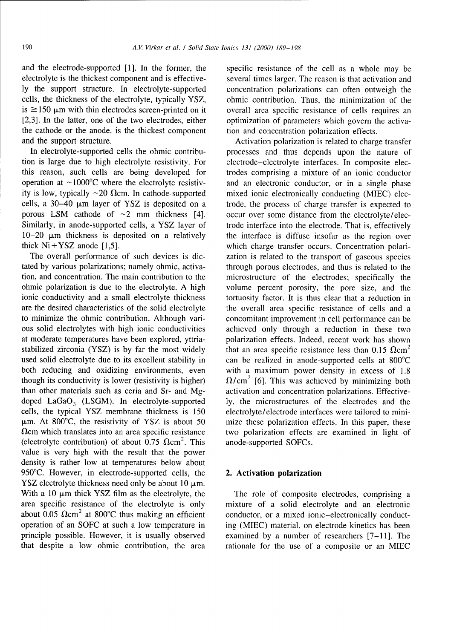and the electrode-supported [1]. In the former, the specific resistance of the cell as a whole may be electrolyte is the thickest component and is effective- several times larger. The reason is that activation and ly the support structure. In electrolyte-supported concentration polarizations can often outweigh the cells, the thickness of the electrolyte, typically YSZ, ohmic contribution. Thus, the minimization of the is  $\ge$ 150  $\mu$ m with thin electrodes screen-printed on it overall area specific resistance of cells requires an [2,3]. In the latter, one of the two electrodes, either optimization of parameters which govern the activathe cathode or the anode, is the thickest component tion and concentration polarization effects.<br>
Activation polarization is related to charge

tion is large due to high electrolyte resistivity. For electrode-electrolyte interfaces. In composite electhis reason, such cells are being developed for trodes comprising a mixture of an ionic conductor operation at  $\sim$ 1000 $\degree$ C where the electrolyte resistiv- and an electronic conductor, or in a single phase ity is low, typically  $\sim$ 20  $\Omega$ cm. In cathode-supported mixed ionic electronically conducting (MIEC) eleccells, a 30–40  $\mu$ m layer of YSZ is deposited on a trode, the process of charge transfer is expected to porous LSM cathode of  $\sim$ 2 mm thickness [4]. occur over some distance from the electrolyte/elec-Similarly, in anode-supported cells, a YSZ layer of trode interface into the electrode. That is, effectively  $10-20 \mu m$  thickness is deposited on a relatively the interface is diffuse insofar as the region over 10-20  $\mu$ m thickness is deposited on a relatively the interface is diffuse insofar as the region over thick Ni+YSZ anode [1,5].

tated by various polarizations; namely ohmic, activa- through porous electrodes, and thus is related to the tion, and concentration. The main contribution to the microstructure of the electrodes; specifically the ohmic polarization is due to the electrolyte. A high volume percent porosity, the pore size, and the ionic conductivity and a small electrolyte thickness tortuosity factor. It is thus clear that a reduction in are the desired characteristics of the solid electrolyte the overall area specific resistance of cells and a to minimize the ohmic contribution. Although vari- concomitant improvement in cell performance can be ous solid electrolytes with high ionic conductivities achieved only through a reduction in these two at moderate temperatures have been explored, yttria- polarization effects. Indeed, recent work has shown stabilized zirconia (YSZ) is by far the most widely that an area specific resistance less than 0.15  $\Omega$ cm<sup>2</sup> used solid electrolyte due to its excellent stability in can be realized in anode-supported cells at  $800^{\circ}$ C both reducing and oxidizing environments, even with a maximum power density in excess of 1.8 though its conductivity is lower (resistivity is higher)  $\Omega/cm^2$  [6]. This was achieved by minimizing both than other materials such as ceria and Sr- and Mg- activation and concentration polarizations. Effectivedoped LaGaO<sub>3</sub> (LSGM). In electrolyte-supported ly, the microstructures of the electrodes and the cells, the typical YSZ membrane thickness is  $150$  electrolyte/electrode interfaces were tailored to mini- $\mu$ m. At 800°C, the resistivity of YSZ is about 50 mize these polarization effects. In this paper, these  $\Omega$ cm which translates into an area specific resistance two polarization effects are examined in light of (electrolyte contribution) of about 0.75  $\Omega$ cm<sup>2</sup>. This anode-supported SOFCs. value is very high with the result that the power density is rather low at temperatures below about 950°C. However, in electrode-supported cells, the 2. Activation polarization YSZ electrolyte thickness need only be about  $10 \mu m$ . With a 10  $\mu$ m thick YSZ film as the electrolyte, the The role of composite electrodes, comprising a area specific resistance of the electrolyte is only mixture of a solid electrolyte and an electronic about  $0.05$   $\Omega$ cm<sup>2</sup> at 800°C thus making an efficient conductor, or a mixed ionic-electronically conductoperation of an SOFC at such a low temperature in ing (MIEC) material, on electrode kinetics has been principle possible. However, it is usually observed examined by a number of researchers [7-11]. The that despite a low ohmic contribution, the area rationale for the use of a composite or an MIEC

optimization of parameters which govern the activa-

Activation polarization is related to charge transfer In electrolyte-supported cells the ohmic contribu- processes and thus depends upon the nature of occur over some distance from the electrolyte/elecwhich charge transfer occurs. Concentration polari-The overall performance of such devices is dic-<br>zation is related to the transport of gaseous species electrolyte/electrode interfaces were tailored to mini-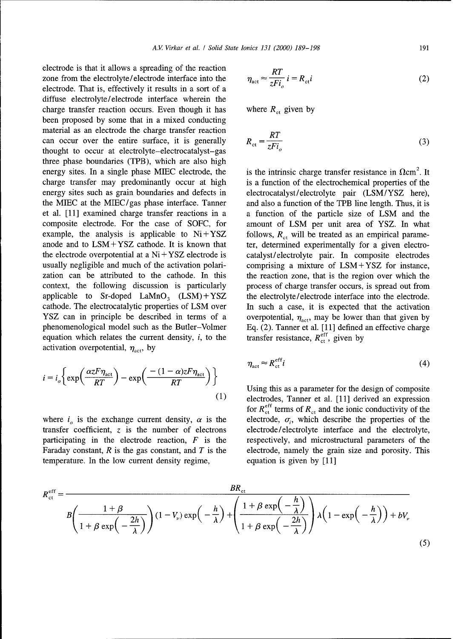electrode is that it allows a spreading of the reaction zone from the electrolyte/electrode interface into the  $\eta$ electrode. That is, effectively it results in a sort of a diffuse electrolyte/ electrode interface wherein the charge transfer reaction occurs. Even though it has where  $R_{\rm ct}$  given by been proposed by some that in a mixed conducting material as an electrode the charge transfer reaction can occur over the entire surface, it is generally thought to occur at electrolyte-electrocatalyst-gas three phase boundaries (TPB), which are also high energy sites. In a single phase MIEC electrode, the is the intrinsic charge transfer resistance in  $\Omega$ cm<sup>2</sup>. It charge transfer may predominantly occur at high is a function of the electrochemical properties of the energy sites such as grain boundaries and defects in electrocatalyst/electrolyte pair (LSM/YSZ here), the MIEC at the MIEC/gas phase interface. Tanner and also a function of the TPB line length. Thus, it is et al. [11] examined charge transfer reactions in a a function of the particle size of LSM and the composite electrode. For the case of SOFC, for amount of LSM per unit area of YSZ. In what example, the analysis is applicable to  $Ni + YSZ$  follows,  $R_{ct}$  will be treated as an empirical parameanode and to LSM+YSZ cathode. It is known that ter, determined experimentally for a given electrothe electrode overpotential at a Ni *+* YSZ electrode is catalyst/electrolyte pair. In composite electrodes usually negligible and much of the activation polari-<br>
comprising a mixture of LSM + YSZ for instance, zation can be attributed to the cathode. In this the reaction zone, that is the region over which the context, the following discussion is particularly process of charge transfer occurs, is spread out from applicable to  $Sr\text{-doped LAMnO}_3$   $(LSM) + YSZ$  the electrolyte/electrode interface into the electrode. cathode. The electrocatalytic properties of LSM over In such a case, it is expected that the activation YSZ can in principle be described in terms of a overpotential,  $\eta_{\text{act}}$ , may be lower than that given by phenomenological model such as the Butler-Volmer Eq. (2). Tanner et al. [11] defined an effective charge equation which relates the current density, *i*, to the transfer resistance,  $R_{\text{cf}}^{\text{eff}}$ , given by equation which relates the current density,  $i$ , to the activation overpotential,  $\eta_{\text{act}}$ , by

$$
i = i_o \left\{ \exp\left(\frac{\alpha z F \eta_{\text{act}}}{RT}\right) - \exp\left(\frac{-(1-\alpha)z F \eta_{\text{act}}}{RT}\right) \right\}
$$
\n
$$
\eta_{\text{act}} \approx R_{\text{ct}}^{\text{eff}} i
$$
\n
$$
\text{Using this as a parameter for the design of compositeelectrodes. Tanner et al. [111 derived an expression
$$

transfer coefficient, z is the number of electrons electrode/electrolyte interface and the electrolyte, participating in the electrode reaction,  $F$  is the respectively, and microstructural parameters of the Faraday constant,  $R$  is the gas constant, and  $T$  is the electrode, namely the grain size and porosity. This temperature. In the low current density regime, equation is given by [11]

$$
\eta_{\rm act} \approx \frac{RT}{zFi_o} \, i = R_{\rm ct} i \tag{2}
$$

$$
R_{\rm ct} = \frac{RT}{zFi_o} \tag{3}
$$

$$
\eta_{\rm act} \approx R_{\rm ct}^{\rm eff} i \tag{4}
$$

Using this as a parameter for the design of composite electrodes, Tanner et al. [11] derived an expression for  $R_{\text{ct}}^{\text{eff}}$  terms of  $R_{\text{ct}}$  and the ionic conductivity of the where  $i<sub>o</sub>$  is the exchange current density,  $\alpha$  is the electrode,  $\sigma_i$ , which describe the properties of the

$$
R_{\text{ct}}^{\text{eff}} = \frac{BR_{\text{ct}}}{B\left(\frac{1+\beta}{1+\beta\exp\left(-\frac{2h}{\lambda}\right)}\right)(1-V_{\nu})\exp\left(-\frac{h}{\lambda}\right) + \left(\frac{1+\beta\exp\left(-\frac{h}{\lambda}\right)}{1+\beta\exp\left(-\frac{2h}{\lambda}\right)}\right)\lambda\left(1-\exp\left(-\frac{h}{\lambda}\right)\right) + bV_{\nu}}
$$
\n(5)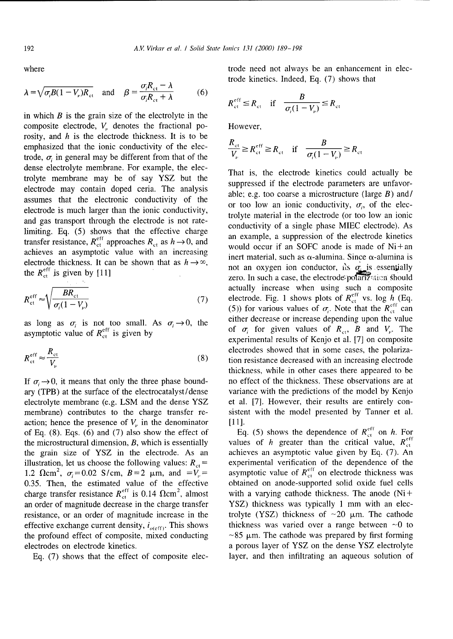$$
\lambda = \sqrt{\sigma_i B (1 - V_{\nu}) R_{\text{ct}}} \quad \text{and} \quad \beta = \frac{\sigma_i R_{\text{ct}} - \lambda}{\sigma_i R_{\text{ct}} + \lambda} \tag{6}
$$

in which  $B$  is the grain size of the electrolyte in the composite electrode,  $V_{\nu}$  denotes the fractional po- However, rosity, and *h* is the electrode thickness. It is to be emphasized that the ionic conductivity of the electrode,  $\sigma$  in general may be different from that of the dense electrolyte membrane. For example, the electrolyte membrane may be of say YSZ but the suppressed if the electrode kinetics could actually be electrode may contain doped ceria. The analysis electrode thickness. It can be shown that as  $h \to \infty$ , the  $R_{\text{ct}}^{\text{eff}}$  is given by [11]

$$
R_{\text{ct}}^{\text{eff}} \approx \sqrt{\frac{BR_{\text{ct}}}{\sigma_i(1-V_{\nu})}}
$$
(7)

$$
R_{\rm ct}^{\rm eff} \approx \frac{R_{\rm ct}}{V_{\nu}} \tag{8}
$$

action; hence the presence of  $V_{\nu}$  in the denominator [11].<br>of Eq. (8). Eqs. (6) and (7) also show the effect of Eq. (5) shows the dependence of  $R_{\text{ct}}^{\text{eff}}$  on h. For of Eq. (8). Eqs. (6) and (7) also show the effect of the microstructural dimension, B, which is essentially values of h greater than the critical value,  $R_{\text{ct}}^{\text{eff}}$ the grain size of YSZ in the electrode. As an achieves an asymptotic value given by Eq. (7). An illustration, let us choose the following values:  $R_{\text{et}} =$  experimental verification of the dependence of the 1.2  $\Omega$ cm<sup>2</sup>,  $\sigma_i$  = 0.02 S/cm, B = 2  $\mu$ m, and =  $V_\nu$  = asymptotic value of  $R_{\rm ct}^{\rm eff}$  on electrode thickness was 0.35. Then, the estimated value of the effective obtained on anode-supported solid oxide fuel cells charge transfer resistance  $R_{\rm ct}^{\rm eff}$  is 0.14  $\Omega$ cm<sup>2</sup>, almost with a varying cathode thickness. The anode (Ni+ an order of magnitude decrease in the charge transfer YSZ) thickness was typically 1 mm with an elecresistance, or an order of magnitude increase in the trolyte (YSZ) thickness of  $\sim$ 20  $\mu$ m. The cathode effective exchange current density,  $i_{o(\text{eff})}$ . This shows thickness was varied over a range between  $\sim 0$  to the profound effect of composite, mixed conducting  $\sim 85 \mu m$ . The cathode was prepared by first forming electrodes on electrode kinetics, a porous layer of YSZ on the dense YSZ electrolyte

where trode need not always be an enhancement in electrode kinetics. Indeed, Eq. (7) shows that

$$
R_{\text{ct}}^{\text{eff}} \leq R_{\text{ct}} \quad \text{if} \quad \frac{B}{\sigma_i (1 - V_{\nu})} \leq R_{\text{ct}}
$$

$$
\frac{R_{\rm ct}}{V_{\rm p}} \ge R_{\rm ct}^{\rm eff} \ge R_{\rm ct} \quad \text{if} \quad \frac{B}{\sigma_i (1 - V_{\rm p})} \ge R_{\rm ct}
$$

assumes that the electronic conductivity of the able; e.g. too coarse a microstructure (large B) and/ or too low an ionic conductivity,  $\sigma_i$ , of the elecelectrode is much larger than the ionic conductivity,  $\frac{d}{dx}$  trolyte material in the electrode (or too low an ionic and gas transport through the electrode is not rate-<br>conductivity of a single phase MIEC electrode). As limiting. Eq. (5) shows that the effective charge an example, a suppression of the electrode kinetics transfer resistance,  $R_{\text{ct}}^{\text{eff}}$  approaches  $R_{\text{ct}}$  as  $h \rightarrow 0$ , and an example, a suppression of the electrode kinetics would occur if an SOFC anode is made of Ni+an achieves an asymptotic value with an increasing inert material, such as  $\alpha$ -alumina. Since  $\alpha$ -alumina is not an oxygen ion conductor, its  $\sigma$  is essentially zero. In such a case, the electrode-polarization should actually increase when using such a composite  $\frac{\text{eff}}{\text{cct}} \approx \sqrt{\frac{\text{CFT}}{\text{cct}} \text{V}}$  (7) electrode. Fig. 1 shows plots of  $R_{\text{ct}}^{\text{eff}}$  vs. log  $h_{\text{c}}(Eq.$ (5)) for various values of  $\sigma_i$ . Note that the  $R_{\rm ct}^{\rm eff}$  can as long as  $\sigma_i$  is not too small. As  $\sigma_i \rightarrow 0$ , the either decrease or increase depending upon the value as  $\log$  as  $\sigma_i$  is not too small. As  $\sigma_i > 0$ , the experimental results of  $R_{\text{et}}$ , *B* and  $V_{\mu}$ . The experimental results of Kenjo et al. [7] on composite electrodes showed that in some cases, the polarization resistance decreased with an increasing electrode thickness, while in other cases there appeared to be If  $\sigma_i \rightarrow 0$ , it means that only the three phase bound- no effect of the thickness. These observations are at ary (TPB) at the surface of the electrocatalyst/dense variance with the predictions of the model by Kenjo electrolyte membrane (e.g. LSM and the dense YSZ et al. [7]. However, their results are entirely conmembrane) contributes to the charge transfer re- sistent with the model presented by Tanner et al.

Eq. (7) shows that the effect of composite elec- layer, and then infiltrating an aqueous solution of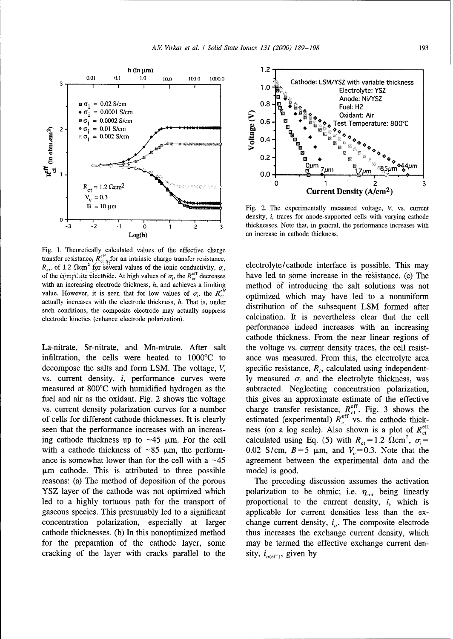

Fig. 1. Theoretically calculated values of the effective charge transfer resistance,  $R_{\text{et},\frac{1}{2}}^{\text{eff}}$  for an intrinsic charge transfer resistance,  $R_{\text{et}}$ , of 1.2  $\Omega$ cm<sup>2</sup> for several values of the ionic conductivity,  $\sigma_i$ , electrolyte/cathode interface is possible. This may of the complessive electrode. At high values of  $\sigma_i$ , the  $R_{\rm eff}^{\rm eff}$  decreases have led to some increase in the resistance. (c) The with an increasing electrode thickness, h, and achieves a limiting method of introducing the salt solutions was not value. However, it is seen that for low values of  $\sigma_i$ , the  $R_{\text{ct}}^{\text{eff}}$  optimized which may have led to a nonuniform actually increases with the electrode thickness, h. That is, under distribution of the subsequent **LSM** formed after such conditions, the composite electrode may actually suppress electrode kinetics (enhance electrode polarization). calcination. It is nevertheless clear that the cell

infiltration, the cells were heated to  $1000^{\circ}$ C to ance was measured. From this, the electrolyte area decompose the salts and form LSM. The voltage,  $V$ , specific resistance,  $R<sub>i</sub>$ , calculated using independentvs. current density, *i*, performance curves were ly measured  $\sigma_i$  and the electrolyte thickness, was measured at 800°C with humidified hydrogen as the subtracted. Neglecting concentration polarization, fuel and air as the oxidant. Fig. 2 shows the voltage this gives an approximate estimate of the effective vs. current density polarization curves for a number charge transfer resistance,  $R_{\text{ct}}^{\text{eff}}$ . Fig. 3 shows the of cells for different cathode thicknesses. It is clearly estimated (experimental)  $R_{\rm ct}^{\rm ent}$  vs. the cathode thickseen that the performance increases with an increas- ness (on a log scale). Also shown is a plot of  $R_{\text{ct}}^{\text{eff}}$ ing cathode thickness up to ~45  $\mu$ m. For the cell calculated using Eq. (5) with  $R_{\text{ct}} = 1.2 \Omega \text{cm}^2$ ,  $\sigma_i =$ with a cathode thickness of ~85  $\mu$ m, the perform- 0.02 S/cm, B=5  $\mu$ m, and V<sub>y</sub>=0.3. Note that the ance is somewhat lower than for the cell with a  $\sim$ 45 agreement between the experimental data and the  $\mu$ m cathode. This is attributed to three possible model is good. reasons: (a) The method of deposition of the porous The preceding discussion assumes the activation YSZ layer of the cathode was not optimized which polarization to be ohmic; i.e.  $\eta_{\text{act}}$  being linearly led to a highly tortuous path for the transport of proportional to the current density, i, which is gaseous species. This presumably led to a significant applicable for current densities less than the exconcentration polarization, especially at larger change current density,  $i<sub>o</sub>$ . The composite electrode cathode thicknesses. (b) In this nonoptimized method thus increases the exchange current density, which for the preparation of the cathode layer, some may be termed the effective exchange current dencracking of the layer with cracks parallel to the sity,  $i_{o(\text{eff})}$ , given by



**<sup>0</sup>**.. density, i, traces for anode-supported cells with varying cathode <sup>3</sup>/<sub>3</sub> thicknesses. Note that, in general, the performance increases with

performance indeed increases with an increasing cathode thickness. From the near linear regions of La-nitrate, Sr-nitrate, and Mn-nitrate. After salt the voltage vs. current density traces, the cell resist-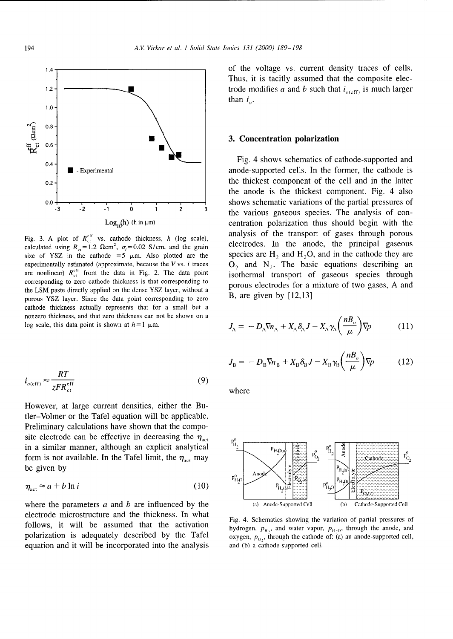

the LSM paste directly applied on the dense YSZ layer, without a porous YSZ layer. Since the data point corresponding to zero B, are given by [12,13] cathode thickness actually represents that for a small but a nonzero thickness, and that zero thickness can not be shown on a log scale, this data point is shown at  $h = 1$   $\mu$ m.

$$
i_{o(\text{eff})} \approx \frac{RT}{zFR_{\text{ct}}^{\text{eff}}}
$$
 (9) where

However, at large current densities, either the Butler-Volmer or the Tafel equation will be applicable. Preliminary calculations have shown that the composite electrode can be effective in decreasing the  $\eta_{\text{act}}$ in a similar manner, although an explicit analytical  $\frac{p_{H_2}}{2}$ 

$$
\eta_{\text{act}} \approx a + b \ln i \tag{10}
$$

electrode microstructure and the thickness. In what Fig. 4. Schematics showing the variation of partial pressures of equation and it will be incorporated into the analysis and **(b)** a cathode-supported cell.

1.4 <del>1.4 1.4 1.4 and 1.4 and 1.4 and 1.4 and 1.4 and 1.4 and 1.4 and 1.4 and 1.4 and 1.4 and 1.4 and 1.4 and 1.4 and 1.4 and 1.4 and 1.4 and 1.4 and 1.4 and 1.4 and 1.4 and 1.4 and 1.4 and 1.4 and 1.4 and 1.4 and 1.4 and 1</del> Thus, it is tacitly assumed that the composite elec-1.2  $\left\{\right. \right. \left. \right. \left. \right. \left. \right. \left. \right. \left. \right. \left. \right. \left. \right. \left. \right. \left. \right. \left. \left. \right. \right. \left. \left. \right. \left. \right. \left. \left. \right. \right. \left. \left. \left. \right. \right. \left. \left. \left. \left. \left. \left. \left. \left. \left. \left( x \right) \right) \right. \right. \right. \right. \right. \left. \left. \left. \left. \left( x \right) \right) \right. \right. \right. \left. \left. \left. \left( x \right)$ than *i.*

 $\overline{\bullet}$  Fig. 4 shows schematics of cathode-supported and **.4** - Experimental anode-supported cells. In the former, the cathode is <sup>0.2</sup> the thickest component of the cell and in the latter the anode is the thickest component. Fig. 4 also  $\begin{array}{ccc}\n\text{0.0} & \begin{array}{ccc}\n\bullet & \bullet & \bullet \\
\hline\n\cdot & \bullet & \bullet \\
\hline\n\cdot & \bullet & \bullet \\
\end{array}\n\end{array}$   $\begin{array}{ccc}\n\bullet & \bullet & \bullet \\
\bullet & \bullet & \bullet \\
\bullet & \bullet & \bullet \\
\end{array}\n\end{array}$ shows schematic variations of the partial pressures of the various gaseous species. The analysis of con- $Log<sub>14</sub>$ (h) (h in  $\mu$ m) centration polarization thus should begin with the Fig. 3. A plot of  $R_{\text{et}}^{\text{eff}}$  vs. cathode thickness, *h* (log scale), analysis of the transport of gases through porous electrodes. In the anode, the principal gaseous calculated using  $R_{\text{et}} = 1.2 \text{ }\Omega \text{cm}^2$ ,  $\sigma_i$ electrodes. In the anode, the principal gaseous size of YSZ in the cathode =5  $\mu$ m. Also plotted are the species are H<sub>2</sub> and H<sub>2</sub>O, and in the cathode they are experimentally estimated (approximate, because the V vs. *i* traces O<sub>2</sub> and N<sub>3</sub>. The basic equations desc  $\mathbf{O}_2$  and  $\mathbf{N}_2$ . The basic equations describing an are nonlinear)  $R_{\text{et}}^{\text{eff}}$  from the data in Fig. 2. The data point isothermal transport of gaseous species through corresponding to zero cathode thickness is that corresponding to porous electrodes for a mixture of two gases, **A** and

$$
J_{A} = -D_{A} \nabla n_{A} + X_{A} \delta_{A} J - X_{A} \gamma_{A} \left( \frac{n B_{o}}{\mu} \right) \nabla p \qquad (11)
$$

$$
J_{\rm B} = -D_{\rm B} \nabla n_{\rm B} + X_{\rm B} \delta_{\rm B} J - X_{\rm B} \gamma_{\rm B} \left( \frac{n B_o}{\mu} \right) \nabla p \tag{12}
$$



follows, it will be assumed that the activation hydrogen,  $p_{H_2}$ , and water vapor,  $p_{H_2O}$ , through the anode, and polarization is adequately described by the Tafel  $\alpha$ xygen,  $p_0$ , through the cathode of: (a) an anode-supported cell,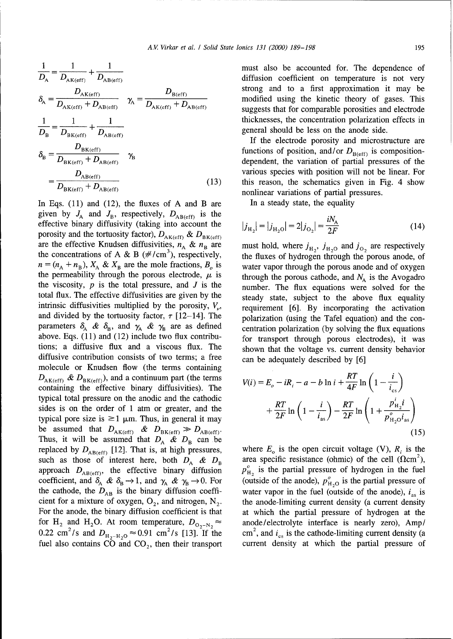$$
\frac{1}{D_{\rm A}} = \frac{1}{D_{\rm AK(eff)}} + \frac{1}{D_{\rm AB(eff)}}
$$
\n
$$
\delta_{\rm A} = \frac{D_{\rm AK(eff)}}{D_{\rm AK(eff)} + D_{\rm AB(eff)}} \quad \gamma_{\rm A} = \frac{D_{\rm B(eff)}}{D_{\rm AK(eff)} + D_{\rm AB(eff)}}
$$
\n
$$
\frac{1}{D_{\rm B}} = \frac{1}{D_{\rm BK(eff)}} + \frac{1}{D_{\rm AB(eff)}}
$$
\n
$$
\delta_{\rm B} = \frac{D_{\rm BK(eff)}}{D_{\rm BK(eff)} + D_{\rm AB(eff)}}
$$
\n
$$
\gamma_{\rm B}
$$
\n
$$
= \frac{D_{\rm AE(eff)}}{D_{\rm BK(eff)} + D_{\rm AB(eff)}}
$$
\n(12)

In Eqs.  $(11)$  and  $(12)$ , the fluxes of A and B are In a steady state, the equality given by  $J_A$  and  $J_B$ , respectively,  $D_{AB(eff)}$  is the effective binary diffusivity (taking into account the porosity and the tortuosity factor),  $D_{AK(eff)}$  &  $D_{BK(eff)}$ are the effective Knudsen diffusivities,  $n_A \& n_B$  are must hold, where  $j_{H_2}$ ,  $j_{H_2O}$  and  $j_{O_2}$  are respectively the concentrations of A & B (#/cm<sup>3</sup>), respectively, the fluxes of hydrogen through the porous anode, of  $n = (n_A + n_B)$ ,  $X_A$  &  $X_B$  are the mole fractions,  $B_o$  is water vapor through the porous anode and of oxygen the permeability through the porous electrode,  $\mu$  is the porous cathode, and  $N_A$  is the Avogadro the viscosity,  $p$  is the total pressure, and  $J$  is the number. The flux equations were solved for the total flux. The effective diffusivities are given by the steady state, subject to the above flux equality intrinsic diffusivities multiplied by the porosity,  $V_{\nu}$ , requirement [6]. By incorporating the activation and divided by the tortuosity factor,  $\tau$  [12-14]. The polarization (using the Tafel equation) and the conparameters  $\delta_A$  &  $\delta_B$ , and  $\gamma_A$  &  $\gamma_B$  are as defined centration polarization (by solving the flux equations above. Eqs. (11) and (12) include two flux contribu- for transport through porous electrodes), it was tions; a diffusive flux and a viscous flux. The shown that the voltage vs. current density behavior diffusive contribution consists of two terms; a free can be adequately described by  $[6]$ molecule or Knudsen flow (the terms containing  $D_{AK(eff)}$  &  $D_{BK(eff)}$ , and a continuum part (the terms containing the effective binary diffusivities). The typical total pressure on the anodic and the cathodic sides is on the order of 1 atm or greater, and the typical pore size is  $\geq 1$   $\mu$ m. Thus, in general it may be assumed that  $D_{AK(eff)}$  &  $D_{BK(eff)} \gg D_{AB(eff)}$ . Thus, it will be assumed that  $D_A \& D_B$  can be replaced by  $D_{AB(eff)}$  [12]. That is, at high pressures, where  $E_0$  is the open circuit voltage (V),  $R_i$  is the such as those of interest here, both  $D_A \& D_B$  area specific resistance (ohmic) of the cell ( $\Omega$ cm<sup>2</sup>), approach  $D_{AB(eff)}$ , the effective binary diffusion  $p_{H_2}^{\circ}$  is the partial pressure of hydrogen in the fuel coefficient, and  $\delta_A \& \delta_B \rightarrow 1$ , and  $\gamma_A \& \gamma_B \rightarrow 0$ . For (outside of the anode),  $p_{H_2O}^o$  is the partial pressure of the cathode, the  $D_{AB}$  is the binary diffusion coeffi- water vapor in the fuel (outside of the anode),  $i_{as}$  is cient for a mixture of oxygen,  $O_2$ , and nitrogen,  $N_2$ . the anode-limiting current density (a current density For the anode, the binary diffusion coefficient is that at which the partial pressure of hydrogen at the for H<sub>2</sub> and H<sub>2</sub>O. At room temperature,  $D_{O_2-N_2} \approx$  anode/electrolyte interface is nearly zero), Amp/ 0.22 cm<sup>2</sup>/s and  $D_{\text{H}_2-\text{H}_2\text{O}} \approx 0.91 \text{ cm}^2/\text{s}$  [13]. If the cm<sup>2</sup>, and  $i_{\text{cs}}$  is the cathode-limiting current density (a

must also be accounted for. The dependence of diffusion coefficient on temperature is not very strong and to a first approximation it may be modified using the kinetic theory of gases. This suggests that for comparable porosities and electrode thicknesses, the concentration polarization effects in general should be less on the anode side.

If the electrode porosity and microstructure are functions of position, and/or  $D_{\text{B(eff)}}$  is composition-<br>dependent, the variation of partial pressures of the various species with position will not be linear. For B) this reason, the schematics given in Fig. 4 show nonlinear variations of partial pressures.

$$
|j_{\text{H}_2}| = |j_{\text{H}_2\text{O}}| = 2|j_{\text{O}_2}| = \frac{iN_{\text{A}}}{2F}
$$
 (14)

$$
V(i) = E_o - iR_i - a - b \ln i + \frac{RT}{4F} \ln \left( 1 - \frac{i}{i_{\text{cs}}} \right)
$$

$$
+ \frac{RT}{2F} \ln \left( 1 - \frac{i}{i_{\text{as}}} \right) - \frac{RT}{2F} \ln \left( 1 + \frac{p_{\text{H}_2}^i i}{p_{\text{H}_2O}^o i_{\text{as}}} \right)
$$
(15)

fuel also contains CO and CO<sub>2</sub>, then their transport current density at which the partial pressure of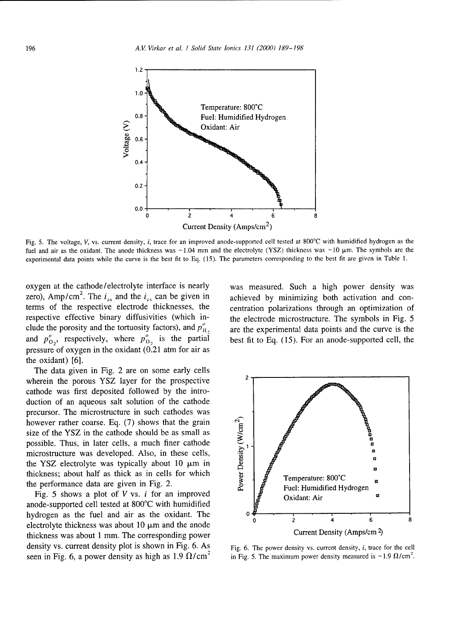

Fig. 5. The voltage, V, vs. current density, i, trace for an improved anode-supported cell tested at 800°C with humidified hydrogen as the fuel and air as the oxidant. The anode thickness was  $\sim$ 1.04 mm and the electrolyte (YSZ) thickness was  $\sim$ 10  $\mu$ m. The symbols are the experimental data points while the curve is the best fit to Eq. (15). The parameters corresponding to the best fit are given in Table 1.

oxygen at the cathode/electrolyte interface is nearly was measured. Such a high power density was zero), Amp/cm<sup>2</sup>. The  $i_{\text{as}}$  and the  $i_{\text{cs}}$  can be given in achieved by minimizing both activation and conterms of the respective electrode thicknesses, the centration polarizations through an optimization of respective effective binary diffusivities (which in- the electrode microstructure. The symbols in Fig. 5 clude the porosity and the tortuosity factors), and  $p_{\rm H}^{\circ}$ , are the experimental data points and the curve is the and  $p_{0_2}^o$ , respectively, where  $p_{0_2}^o$  is the partial best fit to Eq. (15). For an anode-supported cell, the pressure of oxygen in the oxidant  $(0.21)$  atm for air as the oxidant) [6].

The data given in Fig. 2 are on some early cells wherein the porous YSZ layer for the prospective  $2\pi$ cathode was first deposited followed by the introduction of an aqueous salt solution of the cathode precursor. The microstructure in such cathodes was however rather coarse. Eq. (7) shows that the grain size of the YSZ in the cathode should be as small as however rather coarse. Eq. (7) shows that the grain<br>size of the YSZ in the cathode should be as small as<br>possible. Thus, in later cells, a much finer cathode<br>microstructure was developed. Also, in these cells,<br>the YSZ ele microstructure was developed. Also, in these cells, **.0** the YSZ electrolyte was typically about  $10 \mu m$  in thickness; about half as thick as in cells for which

anode-supported cell tested at 800'C with humidified hydrogen as the fuel and air as the oxidant. The **0 0** electrolyte thickness was about 10 pRm and the anode **0 <sup>2</sup>** thickness was about 1 mm. The corresponding power density vs. current density plot is shown in Fig.  $6. As$  Fig.  $6.$  The power density vs. current density, i, trace for the cell seen in Fig. 6, a power density as high as 1.9  $\Omega$ /cm<sup>2</sup>

achieved by minimizing both activation and con-



in Fig. 5. The maximum power density measured is  $\sim$ 1.9  $\Omega$ /cm<sup>2</sup>.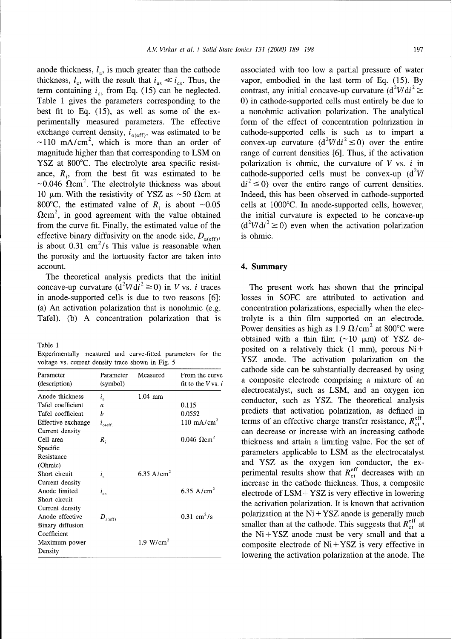anode thickness,  $l_a$ , is much greater than the cathode associated with too low a partial pressure of water thickness,  $l_c$ , with the result that  $i_{as} \ll i_{cs}$ . Thus, the vapor, embodied in the last term of Eq. (15). By term containing  $i_{cs}$  from Eq. (15) can be neglected. contrast, any initial concave-up curvature  $(d^2V/di^2 \ge$ Table 1 gives the parameters corresponding to the 0) in cathode-supported cells must entirely be due to best fit to Eq. (15), as well as some of the ex- a nonohmic activation polarization. The analytical perimentally measured parameters. The effective form of the effect of concentration polarization in exchange current density,  $i_{o(eff)}$ , was estimated to be cathode-supported cells is such as to impart a  $\sim$ 110 mA/cm<sup>2</sup>, which is more than an order of magnitude higher than that corresponding to LSM on range of current densities [6]. Thus, if the activation YSZ at 800 $^{\circ}$ C. The electrolyte area specific resist- polarization is ohmic, the curvature of V vs. *i* in ance,  $R_i$ , from the best fit was estimated to be cathode-supported cells must be convex-up  $(d^2V/$  $\sim$ 0.046  $\Omega$ cm<sup>2</sup>. The electrolyte thickness was about di<sup>2</sup>  $\leq$  0) over the entire range of current densities. 10  $\mu$ m. With the resistivity of YSZ as ~50  $\Omega$ cm at Indeed, this has been observed in cathode-supported 800°C, the estimated value of  $R_i$  is about ~0.05 cells at 1000°C. In anode-supported cells, however,  $\Omega$ cm<sup>2</sup>, in good agreement with the value obtained the initial curvature is expected to be concave-up from the curve fit. Finally, the estimated value of the  $(d^2V/dt^2 \ge 0)$  even when the activation polarization effective binary diffusivity on the anode side,  $D_{a(eff)}$ , is ohmic. is about 0.31 cm<sup>2</sup>/s This value is reasonable when the porosity and the tortuosity factor are taken into account. **4. Summary** 

The theoretical analysis predicts that the initial concave-up curvature  $(d^2V/dt^2 \ge 0)$  in V vs. *i* traces The present work has shown that the principal in anode-supported cells is due to two reasons [6]: losses in SOFC are attributed to activation and (a) An activation polarization that is nonohmic (e.g. concentration polarizations, especially when the elec-Tafel). (b) A concentration polarization that is trolyte is a thin film supported on an electrode.

| Experimentally measured and curve-fitted parameters for the |  |  |  |
|-------------------------------------------------------------|--|--|--|
| voltage vs. current density trace shown in Fig. 5           |  |  |  |

| Parameter<br>(description) | Parameter<br>(symbol)                                              | Measured               | From the curve<br>fit to the $V$ vs. |
|----------------------------|--------------------------------------------------------------------|------------------------|--------------------------------------|
| Anode thickness            | $i_{\rm a}$                                                        | $1.04$ mm              |                                      |
| Tafel coefficient          | a                                                                  |                        | 0.115                                |
| Tafel coefficient          | h                                                                  |                        | 0.0552                               |
| Effective exchange         | $i_{\rm o(eff)}$                                                   |                        | $110 \text{ mA/cm}^2$                |
| Current density            |                                                                    |                        |                                      |
| Cell area                  | $R_{\rm i}$                                                        |                        | $0.046 \Omega$ cm <sup>2</sup>       |
| Specific                   |                                                                    |                        |                                      |
| Resistance                 |                                                                    |                        |                                      |
| (Ohmic)                    |                                                                    |                        |                                      |
| Short circuit              | i,                                                                 | 6.35 A/cm <sup>2</sup> |                                      |
| Current density            |                                                                    |                        |                                      |
| Anode limited              | $i_{\rm as}$                                                       |                        | 6.35 A/cm <sup>2</sup>               |
| Short circuit              |                                                                    |                        |                                      |
| Current density            |                                                                    |                        |                                      |
| Anode effective            | $D_{\mathop{\mathrm{a}}\nolimits(\mathop{\mathrm{eff}}\nolimits)}$ |                        | $0.31 \text{ cm}^2/\text{s}$         |
| Binary diffusion           |                                                                    |                        |                                      |
| Coefficient                |                                                                    |                        |                                      |
| Maximum power              |                                                                    | 1.9 $W/cm^2$           |                                      |
| Density                    |                                                                    |                        |                                      |

 $V/di^2 \le 0$ ) over the entire

Power densities as high as 1.9  $\Omega$ /cm<sup>2</sup> at 800°C were obtained with a thin film  $(\sim 10 \text{ }\mu\text{m})$  of YSZ de-<br>rable 1 posited on a relatively thick  $(1 \text{ mm})$ , porous Ni + YSZ anode. The activation polarization on the cathode side can be substantially decreased by using a composite electrode comprising a mixture of an electrocatalyst, such as LSM, and an oxygen ion conductor, such as YSZ. The theoretical analysis predicts that activation polarization, as defined in terms of an effective charge transfer resistance,  $R_{\text{ct}}^{\text{eff}}$ , can decrease or increase with an increasing cathode thickness and attain a limiting value. For the set of parameters applicable to LSM as the electrocatalyst and YSZ as the oxygen ion conductor, the experimental results show that  $R_{\text{ct}}^{\text{eff}}$  decreases with an increase in the cathode thickness. Thus, a composite electrode of LSM + YSZ is very effective in lowering the activation polarization. It is known that activation polarization at the  $Ni + YSZ$  anode is generally much smaller than at the cathode. This suggests that  $R_{\text{ct}}^{\text{eff}}$  at the  $Ni + YSZ$  anode must be very small and that a composite electrode of  $Ni + YSZ$  is very effective in lowering the activation polarization at the anode. The